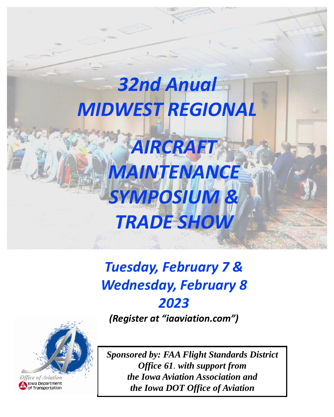

# *Tuesday, February 7 & Wednesday, February 8 2023*

*(Register at "iaaviation.com")*



*Sponsored by: FAA Flight Standards District Office 61. with support from the Iowa Aviation Association and the Iowa DOT Office of Aviation*